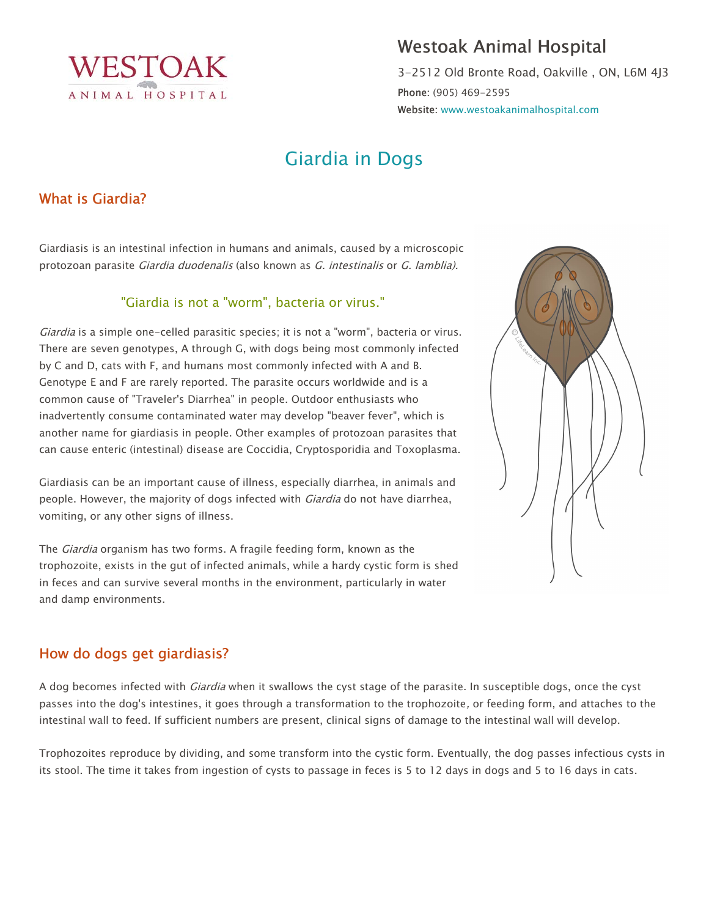

## Westoak Animal Hospital

3-2512 Old Bronte Road, Oakville , ON, L6M 4J3 Phone: (905) 469-2595 Website: www.westoakanimalhospital.com

# Giardia in Dogs

## What is Giardia?

Giardiasis is an intestinal infection in humans and animals, caused by a microscopic protozoan parasite Giardia duodenalis (also known as G. intestinalis or G. lamblia).

#### "Giardia is not a "worm", bacteria or virus."

Giardia is a simple one-celled parasitic species; it is not a "worm", bacteria or virus. There are seven genotypes, A through G, with dogs being most commonly infected by C and D, cats with F, and humans most commonly infected with A and B. Genotype E and F are rarely reported. The parasite occurs worldwide and is a common cause of "Traveler's Diarrhea" in people. Outdoor enthusiasts who inadvertently consume contaminated water may develop "beaver fever", which is another name for giardiasis in people. Other examples of protozoan parasites that can cause enteric (intestinal) disease are Coccidia, Cryptosporidia and Toxoplasma.

Giardiasis can be an important cause of illness, especially diarrhea, in animals and people. However, the majority of dogs infected with *Giardia* do not have diarrhea, vomiting, or any other signs of illness.

The *Giardia* organism has two forms. A fragile feeding form, known as the trophozoite, exists in the gut of infected animals, while a hardy cystic form is shed in feces and can survive several months in the environment, particularly in water and damp environments.



A dog becomes infected with *Giardia* when it swallows the cyst stage of the parasite. In susceptible dogs, once the cyst passes into the dog's intestines, it goes through a transformation to the trophozoite, or feeding form, and attaches to the intestinal wall to feed. If sufficient numbers are present, clinical signs of damage to the intestinal wall will develop.

Trophozoites reproduce by dividing, and some transform into the cystic form. Eventually, the dog passes infectious cysts in its stool. The time it takes from ingestion of cysts to passage in feces is 5 to 12 days in dogs and 5 to 16 days in cats.

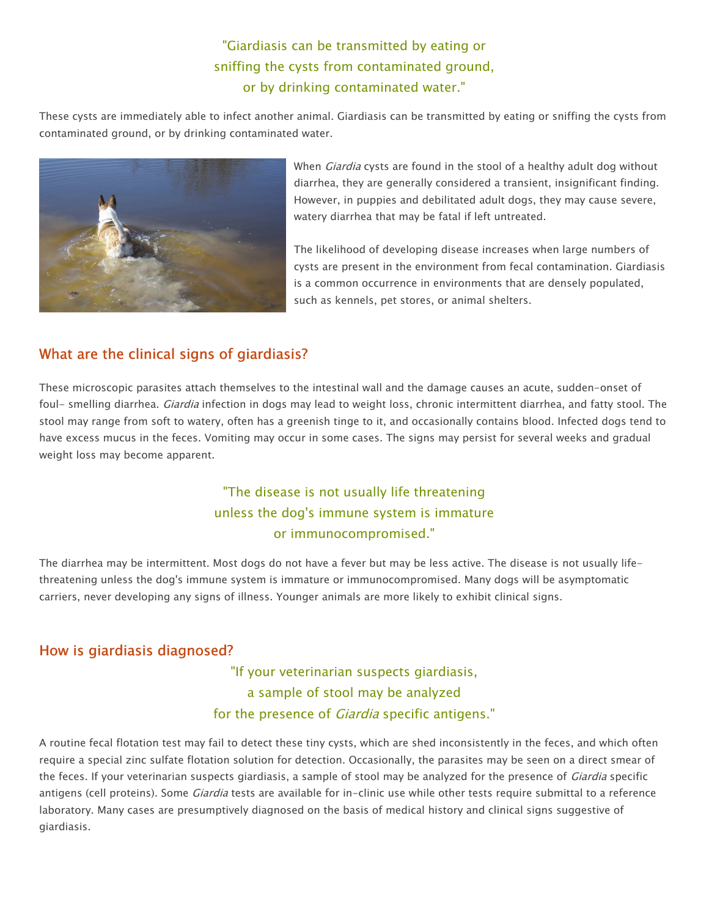"Giardiasis can be transmitted by eating or sniffing the cysts from contaminated ground, or by drinking contaminated water."

These cysts are immediately able to infect another animal. Giardiasis can be transmitted by eating or sniffing the cysts from contaminated ground, or by drinking contaminated water.



When *Giardia* cysts are found in the stool of a healthy adult dog without diarrhea, they are generally considered a transient, insignificant finding. However, in puppies and debilitated adult dogs, they may cause severe, watery diarrhea that may be fatal if left untreated.

The likelihood of developing disease increases when large numbers of cysts are present in the environment from fecal contamination. Giardiasis is a common occurrence in environments that are densely populated, such as kennels, pet stores, or animal shelters.

## What are the clinical signs of giardiasis?

These microscopic parasites attach themselves to the intestinal wall and the damage causes an acute, sudden-onset of foul- smelling diarrhea. Giardia infection in dogs may lead to weight loss, chronic intermittent diarrhea, and fatty stool. The stool may range from soft to watery, often has a greenish tinge to it, and occasionally contains blood. Infected dogs tend to have excess mucus in the feces. Vomiting may occur in some cases. The signs may persist for several weeks and gradual weight loss may become apparent.

## "The disease is not usually life threatening unless the dog's immune system is immature or immunocompromised."

The diarrhea may be intermittent. Most dogs do not have a fever but may be less active. The disease is not usually lifethreatening unless the dog's immune system is immature or immunocompromised. Many dogs will be asymptomatic carriers, never developing any signs of illness. Younger animals are more likely to exhibit clinical signs.

#### How is giardiasis diagnosed?

"If your veterinarian suspects giardiasis, a sample of stool may be analyzed for the presence of *Giardia* specific antigens."

A routine fecal flotation test may fail to detect these tiny cysts, which are shed inconsistently in the feces, and which often require a special zinc sulfate flotation solution for detection. Occasionally, the parasites may be seen on a direct smear of the feces. If your veterinarian suspects giardiasis, a sample of stool may be analyzed for the presence of *Giardia* specific antigens (cell proteins). Some *Giardia* tests are available for in-clinic use while other tests require submittal to a reference laboratory. Many cases are presumptively diagnosed on the basis of medical history and clinical signs suggestive of giardiasis.